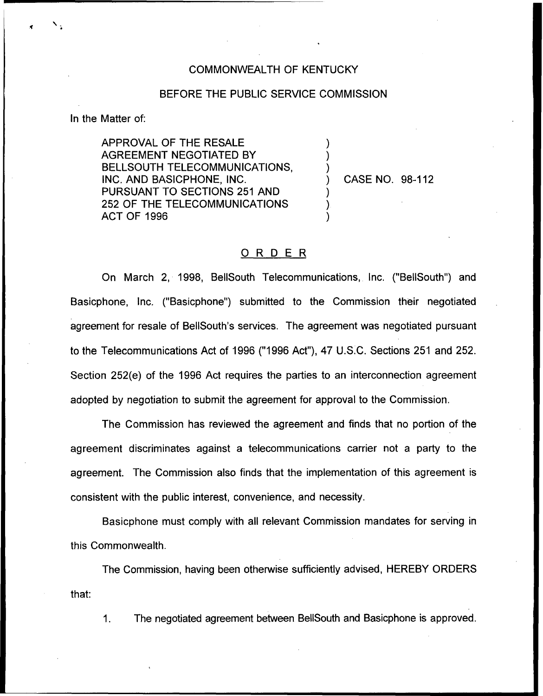## COMMONWEALTH OF KENTUCKY

## BEFORE THE PUBLIC SERVICE COMMISSION

) ) )

) ) )

In the Matter of:

APPROVAL OF THE RESALE AGREEMENT NEGOTIATED BY BELLSOUTH TELECOMMUNICATIONS, INC. AND BASICPHONE, INC. PURSUANT TO SECTIONS 251 AND 252 OF THE TELECOMMUNICATIONS ACT OF 1996

) CASE NO. 98-112

## ORDER

On March 2, 1998, BellSouth Telecommunications, Inc. ("BellSouth") and Basicphone, Inc, ("Basicphone") submitted to the Commission their negotiated agreement for resale of BeIISouth's services. The agreement was negotiated pursuant to the Telecommunications Act of 1996 ("1996 Act"), 47 U.S.C. Sections 251 and 252. Section 252(e) of the 1996 Act requires the parties to an interconnection agreement adopted by negotiation to submit the agreement for approval to the Commission.

The Commission has reviewed the agreement and finds that no portion of the agreement discriminates against a telecommunications carrier not a party to the agreement. The Commission also finds that the implementation of this agreement is consistent with the public interest, convenience, and necessity.

Basicphone must comply with all relevant Commission mandates for serving in this Commonwealth.

The Commission, having been otherwise sufficiently advised, HEREBY ORDERS that:

1. The negotiated agreement between BellSouth and Basicphone is approved.